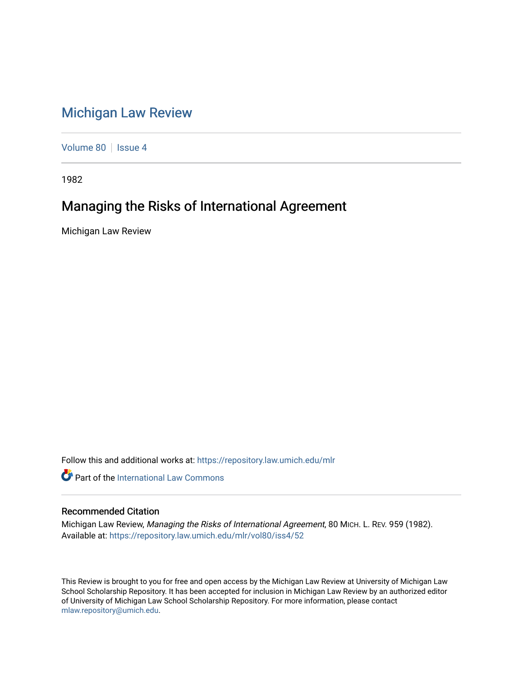## [Michigan Law Review](https://repository.law.umich.edu/mlr)

[Volume 80](https://repository.law.umich.edu/mlr/vol80) | [Issue 4](https://repository.law.umich.edu/mlr/vol80/iss4)

1982

## Managing the Risks of International Agreement

Michigan Law Review

Follow this and additional works at: [https://repository.law.umich.edu/mlr](https://repository.law.umich.edu/mlr?utm_source=repository.law.umich.edu%2Fmlr%2Fvol80%2Fiss4%2F52&utm_medium=PDF&utm_campaign=PDFCoverPages) 

**Part of the International Law Commons** 

## Recommended Citation

Michigan Law Review, Managing the Risks of International Agreement, 80 MICH. L. REV. 959 (1982). Available at: [https://repository.law.umich.edu/mlr/vol80/iss4/52](https://repository.law.umich.edu/mlr/vol80/iss4/52?utm_source=repository.law.umich.edu%2Fmlr%2Fvol80%2Fiss4%2F52&utm_medium=PDF&utm_campaign=PDFCoverPages) 

This Review is brought to you for free and open access by the Michigan Law Review at University of Michigan Law School Scholarship Repository. It has been accepted for inclusion in Michigan Law Review by an authorized editor of University of Michigan Law School Scholarship Repository. For more information, please contact [mlaw.repository@umich.edu.](mailto:mlaw.repository@umich.edu)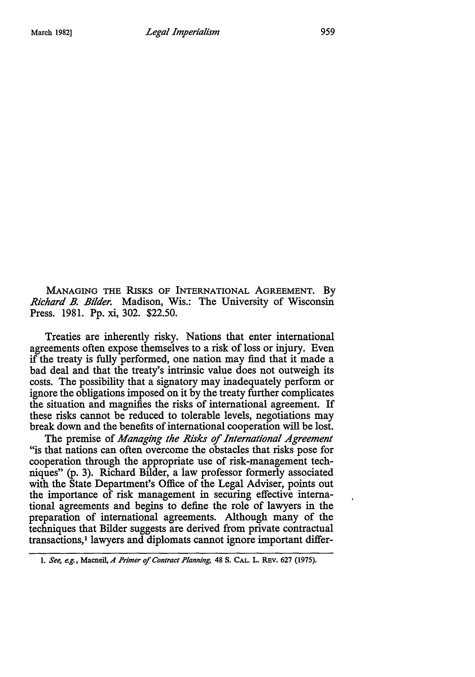**MANAGING THE RISKS** OF INTERNATIONAL **AGREEMENT. By** *Richard B. Bilder.* Madison, Wis.: The University of Wisconsin Press. 1981. **Pp.** xi, 302. \$22.50.

Treaties are inherently risky. Nations that enter international agreements often expose themselves to a risk of loss or injury. Even if the treaty is fully performed, one nation may find that it made a bad deal and that the treaty's intrinsic value does not outweigh its costs. The possibility that a signatory may inadequately perform or ignore the obligations imposed on it **by** the treaty further complicates the situation and magnifies the risks of international agreement. If these risks cannot be reduced to tolerable levels, negotiations may break down and the benefits of international cooperation will be lost.

The premise of *Managing the Risks of International Agreement* "is that nations can often overcome the obstacles that risks pose for cooperation through the appropriate use of risk-management techniques" **(p. 3).** Richard Bilder, a law professor formerly associated with the State Department's Office of the Legal Adviser, points out the importance of risk management in securing effective international agreements and begins to define the role of lawyers in the preparation of international agreements. Although many of the techniques that Bilder suggests are derived from private contractual transactions,' lawyers and diplomats cannot ignore important differ-

*<sup>1.</sup> See, e.g.,* **Macneil,** *A Primer of Contract Planning* **48 S. CAL.** L. **REv. 627 (1975).**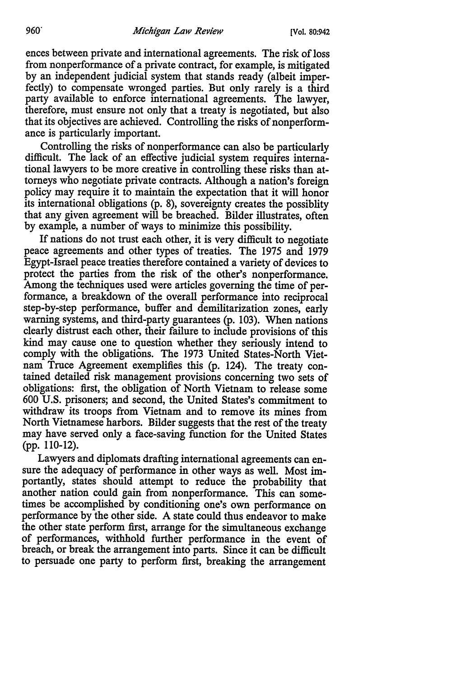ences between private and international agreements. The risk of loss from nonperformance of a private contract, for example, is mitigated by an independent judicial system that stands ready (albeit imperfectly) to compensate wronged parties. But only rarely is a third party available to enforce international agreements. The lawyer, therefore, must ensure not only that a treaty is negotiated, but also that its objectives are achieved. Controlling the risks of nonperformance is particularly important.

Controlling the risks of nonperformance can also be particularly difficult. The lack of an effective judicial system requires international lawyers to be more creative in controlling these risks than attorneys who negotiate private contracts. Although a nation's foreign policy may require it to maintain the expectation that it will honor its international obligations (p. 8), sovereignty creates the possiblity that any given agreement will be breached. Bilder illustrates, often by example, a number of ways to minimize this possibility.

If nations do not trust each other, it is very difficult to negotiate peace agreements and other types of treaties. The 1975 and 1979 Egypt-Israel peace treaties therefore contained a variety of devices to protect the parties from the risk of the other's nonperformance. Among the techniques used were articles governing the time of performance, a breakdown of the overall performance into reciprocal step-by-step performance, buffer and demilitarization zones, early warning systems, and third-party guarantees (p. 103). When nations clearly distrust each other, their failure to include provisions of this kind may cause one to question whether they seriously intend to comply with the obligations. The 1973 United States-North Vietnam Truce Agreement exemplifies this (p. 124). The treaty contained detailed risk management provisions concerning two sets of obligations: first, the obligation of North Vietnam to release some 600 U.S. prisoners; and second, the United States's commitment to withdraw its troops from Vietnam and to remove its mines from North Vietnamese harbors. Bilder suggests that the rest of the treaty may have served only a face-saving function for the United States (pp. 110-12).

Lawyers and diplomats drafting international agreements can ensure the adequacy of performance in other ways as well. Most importantly, states should attempt to reduce the probability that another nation could gain from nonperformance. This can sometimes be accomplished by conditioning one's own performance on performance by the other side. A state could thus endeavor to make the other state perform first, arrange for the simultaneous exchange of performances, withhold further performance in the event of breach, or break the arrangement into parts. Since it can be difficult to persuade one party to perform first, breaking the arrangement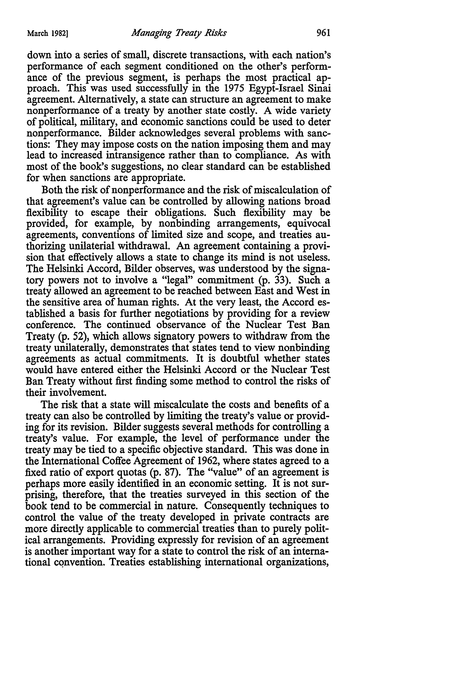down into a series of small, discrete transactions, with each nation's performance of each segment conditioned on the other's performance of the previous segment, is perhaps the most practical approach. This was used successfully in the 1975 Egypt-Israel Sinai agreement. Alternatively, a state can structure an agreement to make nonperformance of a treaty by another state costly. A wide variety of political, military, and economic sanctions could be used to deter nonperformance. Bilder acknowledges several problems with sanctions: They may impose costs on the nation imposing them and may lead to increased intransigence rather than to compliance. As with most of the book's suggestions, no clear standard can be established for when sanctions are appropriate.

Both the risk of nonperformance and the risk of miscalculation of that agreement's value can be controlled by allowing nations broad flexibility to escape their obligations. Such flexibility may be provided, for example, by nonbinding arrangements, equivocal agreements, conventions of limited size and scope, and treaties authorizing unilaterial withdrawal. An agreement containing a provision that effectively allows a state to change its mind is not useless. The Helsinki Accord, Bilder observes, was understood by the signatory powers not to involve a "legal" commitment (p. 33). Such a treaty allowed an agreement to be reached between East and West in the sensitive area of human rights. At the very least, the Accord established a basis for further negotiations by providing for a review conference. The continued observance of the Nuclear Test Ban Treaty (p. 52), which allows signatory powers to withdraw from the treaty unilaterally, demonstrates that states tend to view nonbinding agreements as actual commitments. It is doubtful whether states would have entered either the Helsinki Accord or the Nuclear Test Ban Treaty without first finding some method to control the risks of their involvement.

The risk that a state will miscalculate the costs and benefits of a treaty can also be controlled by limiting the treaty's value or providing for its revision. Bilder suggests several methods for controlling a treaty's value. For example, the level of performance under the treaty may be tied to a specific objective standard. This was done in the International Coffee Agreement of 1962, where states agreed to a fixed ratio of export quotas (p. 87). The "value" of an agreement is perhaps more easily identified in an economic setting. It is not surprising, therefore, that the treaties surveyed in this section of the book tend to be commercial in nature. Consequently techniques to control the value of the treaty developed in private contracts are more directly applicable to commercial treaties than to purely political arrangements. Providing expressly for revision of an agreement is another important way for a state to control the risk of an international convention. Treaties establishing international organizations,